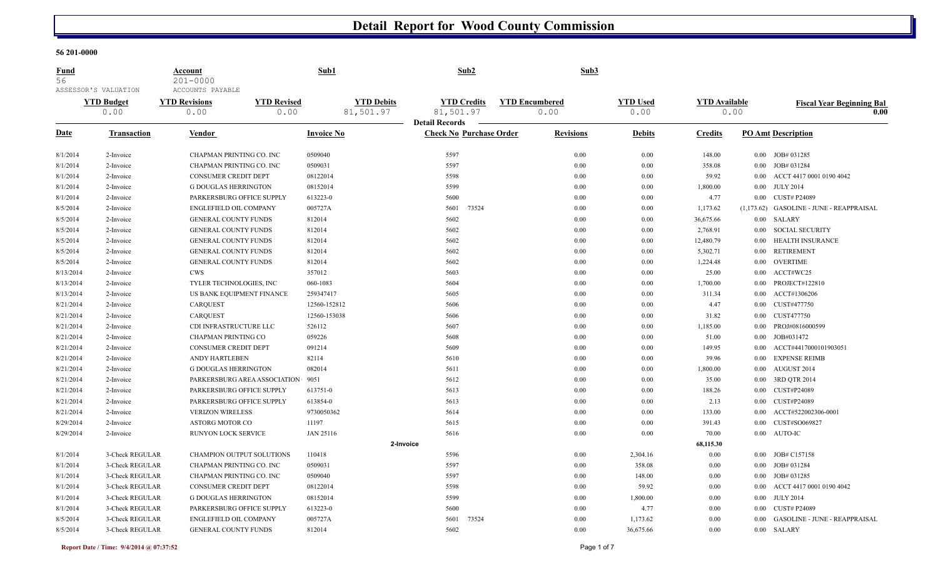## **56 201-0000**

| <u>Fund</u><br>56 | ASSESSOR'S VALUATION | Account<br>$201 - 0000$<br>ACCOUNTS PAYABLE |                    | Sub1              |           | Sub2                           | Sub3                  |                 |                      |            |                                      |
|-------------------|----------------------|---------------------------------------------|--------------------|-------------------|-----------|--------------------------------|-----------------------|-----------------|----------------------|------------|--------------------------------------|
|                   | <b>YTD Budget</b>    | <b>YTD Revisions</b>                        | <b>YTD Revised</b> | <b>YTD Debits</b> |           | <b>YTD Credits</b>             | <b>YTD Encumbered</b> | <b>YTD Used</b> | <b>YTD</b> Available |            | <b>Fiscal Year Beginning Bal</b>     |
|                   | 0.00                 | 0.00                                        | 0.00               | 81,501.97         |           | 81,501.97                      | 0.00                  | 0.00            |                      | 0.00       | $\overline{0.00}$                    |
|                   |                      |                                             |                    |                   |           | <b>Detail Records</b>          |                       |                 |                      |            |                                      |
| Date              | <b>Transaction</b>   | Vendor                                      |                    | <b>Invoice No</b> |           | <b>Check No Purchase Order</b> | <b>Revisions</b>      | <b>Debits</b>   | <b>Credits</b>       |            | <b>PO Amt Description</b>            |
| 8/1/2014          | 2-Invoice            | CHAPMAN PRINTING CO. INC                    |                    | 0509040           |           | 5597                           | 0.00                  | 0.00            | 148.00               |            | 0.00 JOB# 031285                     |
| 8/1/2014          | 2-Invoice            | CHAPMAN PRINTING CO. INC                    |                    | 0509031           |           | 5597                           | 0.00                  | 0.00            | 358.08               | 0.00       | JOB# 031284                          |
| 8/1/2014          | 2-Invoice            | CONSUMER CREDIT DEPT                        |                    | 08122014          |           | 5598                           | 0.00                  | 0.00            | 59.92                | 0.00       | ACCT 4417 0001 0190 4042             |
| 8/1/2014          | 2-Invoice            | <b>G DOUGLAS HERRINGTON</b>                 |                    | 08152014          |           | 5599                           | 0.00                  | 0.00            | 1,800.00             | 0.00       | JULY 2014                            |
| 8/1/2014          | 2-Invoice            | PARKERSBURG OFFICE SUPPLY                   |                    | 613223-0          |           | 5600                           | 0.00                  | 0.00            | 4.77                 | 0.00       | CUST# P24089                         |
| 8/5/2014          | 2-Invoice            | ENGLEFIELD OIL COMPANY                      |                    | 005727A           |           | 5601<br>73524                  | 0.00                  | 0.00            | 1,173.62             | (1,173.62) | <b>GASOLINE - JUNE - REAPPRAISAL</b> |
| 8/5/2014          | 2-Invoice            | <b>GENERAL COUNTY FUNDS</b>                 |                    | 812014            |           | 5602                           | 0.00                  | 0.00            | 36,675.66            | 0.00       | SALARY                               |
| 8/5/2014          | 2-Invoice            | <b>GENERAL COUNTY FUNDS</b>                 |                    | 812014            |           | 5602                           | 0.00                  | 0.00            | 2,768.91             | $0.00\,$   | <b>SOCIAL SECURITY</b>               |
| 8/5/2014          | 2-Invoice            | <b>GENERAL COUNTY FUNDS</b>                 |                    | 812014            |           | 5602                           | 0.00                  | 0.00            | 12,480.79            | 0.00       | <b>HEALTH INSURANCE</b>              |
| 8/5/2014          | 2-Invoice            | <b>GENERAL COUNTY FUNDS</b>                 |                    | 812014            |           | 5602                           | 0.00                  | 0.00            | 5,302.71             | 0.00       | <b>RETIREMENT</b>                    |
| 8/5/2014          | 2-Invoice            | <b>GENERAL COUNTY FUNDS</b>                 |                    | 812014            |           | 5602                           | 0.00                  | 0.00            | 1,224.48             | 0.00       | OVERTIME                             |
| 8/13/2014         | 2-Invoice            | <b>CWS</b>                                  |                    | 357012            |           | 5603                           | 0.00                  | 0.00            | 25.00                | 0.00       | ACCT#WC25                            |
| 8/13/2014         | 2-Invoice            | TYLER TECHNOLOGIES, INC                     |                    | 060-1083          |           | 5604                           | 0.00                  | 0.00            | 1,700.00             | 0.00       | PROJECT#122810                       |
| 8/13/2014         | 2-Invoice            | US BANK EQUIPMENT FINANCE                   |                    | 259347417         |           | 5605                           | 0.00                  | 0.00            | 311.34               | 0.00       | ACCT#1306206                         |
| 8/21/2014         | 2-Invoice            | <b>CARQUEST</b>                             |                    | 12560-152812      |           | 5606                           | 0.00                  | 0.00            | 4.47                 | 0.00       | CUST#477750                          |
| 8/21/2014         | 2-Invoice            | <b>CAROUEST</b>                             |                    | 12560-153038      |           | 5606                           | 0.00                  | 0.00            | 31.82                | 0.00       | CUST477750                           |
| 8/21/2014         | 2-Invoice            | CDI INFRASTRUCTURE LLC                      |                    | 526112            |           | 5607                           | 0.00                  | 0.00            | 1,185.00             | 0.00       | PROJ#0816000599                      |
| 8/21/2014         | 2-Invoice            | <b>CHAPMAN PRINTING CO</b>                  |                    | 059226            |           | 5608                           | 0.00                  | 0.00            | 51.00                | 0.00       | JOB#031472                           |
| 8/21/2014         | 2-Invoice            | <b>CONSUMER CREDIT DEPT</b>                 |                    | 091214            |           | 5609                           | 0.00                  | 0.00            | 149.95               | 0.00       | ACCT#4417000101903051                |
| 8/21/2014         | 2-Invoice            | <b>ANDY HARTLEBEN</b>                       |                    | 82114             |           | 5610                           | 0.00                  | 0.00            | 39.96                | 0.00       | <b>EXPENSE REIMB</b>                 |
| 8/21/2014         | 2-Invoice            | <b>G DOUGLAS HERRINGTON</b>                 |                    | 082014            |           | 5611                           | 0.00                  | 0.00            | 1,800.00             | 0.00       | AUGUST 2014                          |
| 8/21/2014         | 2-Invoice            | PARKERSBURG AREA ASSOCIATION                |                    | 9051              |           | 5612                           | 0.00                  | 0.00            | 35.00                | 0.00       | 3RD QTR 2014                         |
| 8/21/2014         | 2-Invoice            | PARKERSBURG OFFICE SUPPLY                   |                    | 613751-0          |           | 5613                           | 0.00                  | 0.00            | 188.26               | 0.00       | CUST#P24089                          |
| 8/21/2014         | 2-Invoice            | PARKERSBURG OFFICE SUPPLY                   |                    | 613854-0          |           | 5613                           | 0.00                  | 0.00            | 2.13                 | 0.00       | CUST#P24089                          |
| 8/21/2014         | 2-Invoice            | <b>VERIZON WIRELESS</b>                     |                    | 9730050362        |           | 5614                           | 0.00                  | 0.00            | 133.00               | 0.00       | ACCT#522002306-0001                  |
| 8/29/2014         | 2-Invoice            | <b>ASTORG MOTOR CO</b>                      |                    | 11197             |           | 5615                           | 0.00                  | 0.00            | 391.43               | 0.00       | CUST#SO069827                        |
| 8/29/2014         | 2-Invoice            | RUNYON LOCK SERVICE                         |                    | JAN 25116         |           | 5616                           | 0.00                  | 0.00            | 70.00                | 0.00       | <b>AUTO-IC</b>                       |
|                   |                      |                                             |                    |                   | 2-Invoice |                                |                       |                 | 68,115.30            |            |                                      |
| 8/1/2014          | 3-Check REGULAR      | CHAMPION OUTPUT SOLUTIONS                   |                    | 110418            |           | 5596                           | 0.00                  | 2,304.16        | 0.00                 | 0.00       | JOB# C157158                         |
| 8/1/2014          | 3-Check REGULAR      | CHAPMAN PRINTING CO. INC                    |                    | 0509031           |           | 5597                           | 0.00                  | 358.08          | 0.00                 | 0.00       | JOB# 031284                          |
| 8/1/2014          | 3-Check REGULAR      | CHAPMAN PRINTING CO. INC                    |                    | 0509040           |           | 5597                           | 0.00                  | 148.00          | 0.00                 | 0.00       | JOB# 031285                          |
| 8/1/2014          | 3-Check REGULAR      | <b>CONSUMER CREDIT DEPT</b>                 |                    | 08122014          |           | 5598                           | 0.00                  | 59.92           | 0.00                 | 0.00       | ACCT 4417 0001 0190 4042             |
| 8/1/2014          | 3-Check REGULAR      | <b>G DOUGLAS HERRINGTON</b>                 |                    | 08152014          |           | 5599                           | 0.00                  | 1,800.00        | 0.00                 | 0.00       | <b>JULY 2014</b>                     |
| 8/1/2014          | 3-Check REGULAR      | PARKERSBURG OFFICE SUPPLY                   |                    | 613223-0          |           | 5600                           | 0.00                  | 4.77            | 0.00                 | 0.00       | <b>CUST# P24089</b>                  |
| 8/5/2014          | 3-Check REGULAR      | ENGLEFIELD OIL COMPANY                      |                    | 005727A           |           | 5601<br>73524                  | 0.00                  | 1,173.62        | 0.00                 | 0.00       | <b>GASOLINE - JUNE - REAPPRAISAL</b> |
| 8/5/2014          | 3-Check REGULAR      | <b>GENERAL COUNTY FUNDS</b>                 |                    | 812014            |           | 5602                           | 0.00                  | 36,675.66       | 0.00                 | 0.00       | SALARY                               |

**Report Date / Time: 9/4/2014 @ 07:37:52** Page 1 of 7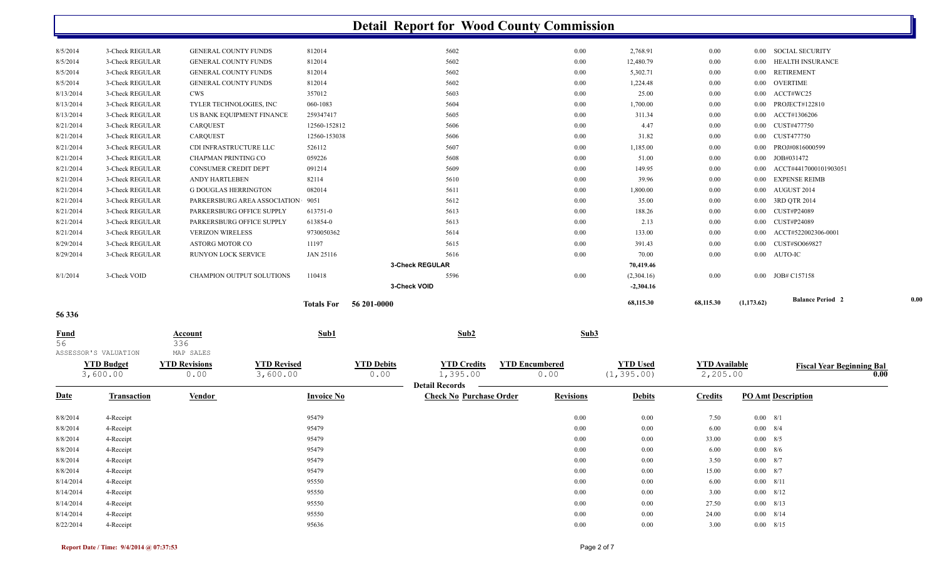| $\sim$ $\sim$      |           |                 |                          |                      |
|--------------------|-----------|-----------------|--------------------------|----------------------|
| 68,115.30          | 68,115.30 | (1,173.62)      | <b>Balance Period 2</b>  | 0.00                 |
| $-2,304.16$        |           |                 |                          |                      |
| 0.00<br>(2,304.16) | 0.00      |                 | 0.00 JOB# C157158        |                      |
| 70,419.46          |           |                 |                          |                      |
| 0.00<br>70.00      | 0.00      | $0.00$ AUTO-IC  |                          |                      |
| 0.00<br>391.43     | 0.00      |                 | 0.00 CUST#SO069827       |                      |
| 0.00<br>133.00     | $0.00\,$  |                 | 0.00 ACCT#522002306-0001 |                      |
| 2.13<br>0.00       | $0.00\,$  |                 | 0.00 CUST#P24089         |                      |
| 0.00<br>188.26     | 0.00      | 0.00            | CUST#P24089              |                      |
| 35.00<br>0.00      | $0.00\,$  |                 | 0.00 3RD QTR 2014        |                      |
| 1,800.00<br>0.00   | $0.00\,$  |                 | 0.00 AUGUST 2014         |                      |
| 0.00<br>39.96      | 0.00      |                 | 0.00 EXPENSE REIMB       |                      |
| 149.95<br>0.00     | 0.00      | 0.00            | ACCT#4417000101903051    |                      |
| 51.00<br>0.00      | $0.00\,$  | 0.00 JOB#031472 |                          |                      |
| 1,185.00<br>0.00   | 0.00      |                 | 0.00 PROJ#0816000599     |                      |
| 0.00<br>31.82      | 0.00      | 0.00 CUST477750 |                          |                      |
| 4.47<br>0.00       | 0.00      |                 | 0.00 CUST#477750         |                      |
| 311.34<br>0.00     | 0.00      |                 | 0.00 ACCT#1306206        |                      |
| 0.00<br>1,700.00   | 0.00      | 0.00            | PROJECT#122810           |                      |
| 25.00<br>0.00      | 0.00      | 0.00 ACCT#WC25  |                          |                      |
| 0.00<br>1,224.48   | 0.00      | 0.00 OVERTIME   |                          |                      |
| 0.00<br>5,302.71   | 0.00      | 0.00            | <b>RETIREMENT</b>        |                      |
| 0.00<br>12,480.79  | 0.00      |                 | 0.00 HEALTH INSURANCE    |                      |
| 0.00               | 0.00      |                 |                          |                      |
|                    |           | 2,768.91        |                          | 0.00 SOCIAL SECURITY |

| <b>Fund</b> |                      | Account              | Sub1               |                   | Sub2                           |                       | Sub3             |                 |                      |                           |                                  |
|-------------|----------------------|----------------------|--------------------|-------------------|--------------------------------|-----------------------|------------------|-----------------|----------------------|---------------------------|----------------------------------|
| 56          |                      | 336                  |                    |                   |                                |                       |                  |                 |                      |                           |                                  |
|             | ASSESSOR'S VALUATION | MAP SALES            |                    |                   |                                |                       |                  |                 |                      |                           |                                  |
|             | <b>YTD Budget</b>    | <b>YTD Revisions</b> | <b>YTD Revised</b> | <b>YTD Debits</b> | <b>YTD Credits</b>             | <b>YTD Encumbered</b> |                  | <b>YTD Used</b> | <b>YTD</b> Available |                           | <b>Fiscal Year Beginning Bal</b> |
|             | 3,600.00             | 0.00                 | 3,600.00           | 0.00              | 1,395.00                       | 0.00                  |                  | (1, 395.00)     | 2,205.00             |                           | 0.00                             |
|             |                      |                      |                    |                   | <b>Detail Records</b>          |                       |                  |                 |                      |                           |                                  |
| <b>Date</b> | <b>Transaction</b>   | <b>Vendor</b>        | <b>Invoice No</b>  |                   | <b>Check No Purchase Order</b> |                       | <b>Revisions</b> | <b>Debits</b>   | <b>Credits</b>       | <b>PO Amt Description</b> |                                  |
| 8/8/2014    | 4-Receipt            |                      | 95479              |                   |                                |                       | 0.00             | 0.00            | 7.50                 | $0.00 \t 8/1$             |                                  |
| 8/8/2014    | 4-Receipt            |                      | 95479              |                   |                                |                       | 0.00             | 0.00            | 6.00                 | $0.00 \t 8/4$             |                                  |
| 8/8/2014    | 4-Receipt            |                      | 95479              |                   |                                |                       | 0.00             | 0.00            | 33.00                | $0.00 \t 8/5$             |                                  |
| 8/8/2014    | 4-Receipt            |                      | 95479              |                   |                                |                       | 0.00             | 0.00            | 6.00                 | $0.00 \t 8/6$             |                                  |
| 8/8/2014    | 4-Receipt            |                      | 95479              |                   |                                |                       | 0.00             | 0.00            | 3.50                 | $0.00 \t 8/7$             |                                  |
| 8/8/2014    | 4-Receipt            |                      | 95479              |                   |                                |                       | 0.00             | 0.00            | 15.00                | $0.00 \t 8/7$             |                                  |
| 8/14/2014   | 4-Receipt            |                      | 95550              |                   |                                |                       | 0.00             | 0.00            | 6.00                 | $0.00 \quad 8/11$         |                                  |
| 8/14/2014   | 4-Receipt            |                      | 95550              |                   |                                |                       | 0.00             | 0.00            | 3.00                 | $0.00 \quad 8/12$         |                                  |
| 8/14/2014   | 4-Receipt            |                      | 95550              |                   |                                |                       | 0.00             | 0.00            | 27.50                | $0.00 \quad 8/13$         |                                  |
| 8/14/2014   | 4-Receipt            |                      | 95550              |                   |                                |                       | 0.00             | 0.00            | 24.00                | $0.00 \quad 8/14$         |                                  |
| 8/22/2014   | 4-Receipt            |                      | 95636              |                   |                                |                       | 0.00             | 0.00            | 3.00                 | $0.00 \quad 8/15$         |                                  |
|             |                      |                      |                    |                   |                                |                       |                  |                 |                      |                           |                                  |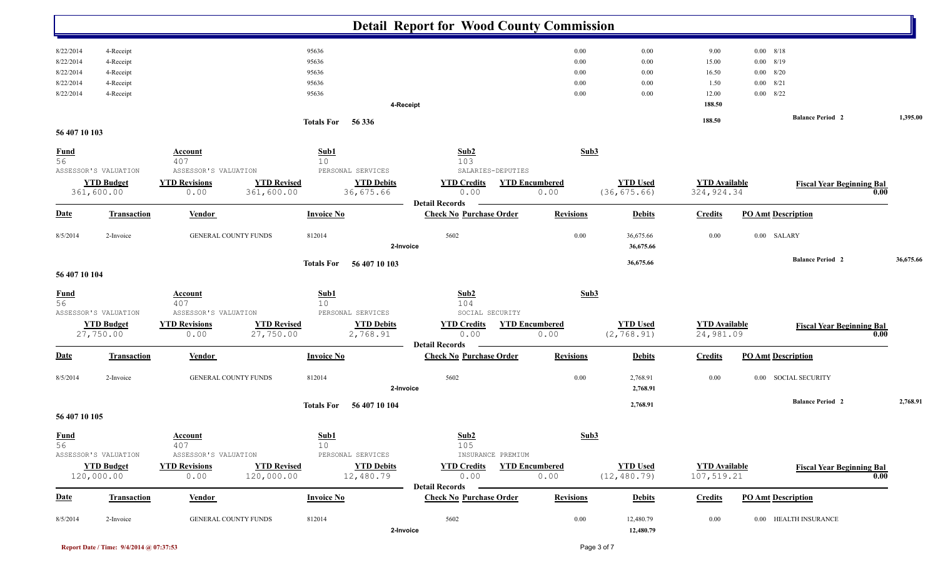|                   |                                 |                              |                                  |                                    | <b>Detail Report for Wood County Commission</b> |                               |                                 |                                    |                           |                                  |           |
|-------------------|---------------------------------|------------------------------|----------------------------------|------------------------------------|-------------------------------------------------|-------------------------------|---------------------------------|------------------------------------|---------------------------|----------------------------------|-----------|
|                   |                                 |                              |                                  |                                    |                                                 |                               |                                 |                                    |                           |                                  |           |
| 8/22/2014         | 4-Receipt                       |                              |                                  | 95636                              |                                                 | 0.00                          | 0.00                            | 9.00                               | $0.00 \quad 8/18$         |                                  |           |
| 8/22/2014         | 4-Receipt                       |                              |                                  | 95636                              |                                                 | 0.00                          | 0.00                            | 15.00                              | $0.00 \quad 8/19$         |                                  |           |
| 8/22/2014         | 4-Receipt                       |                              |                                  | 95636                              |                                                 | 0.00                          | 0.00                            | 16.50                              | $0.00 \t 8/20$            |                                  |           |
| 8/22/2014         | 4-Receipt                       |                              |                                  | 95636                              |                                                 | 0.00                          | 0.00                            | 1.50                               | $0.00 \quad 8/21$         |                                  |           |
| 8/22/2014         | 4-Receipt                       |                              |                                  | 95636                              | 4-Receipt                                       | 0.00                          | 0.00                            | 12.00<br>188.50                    | $0.00 \quad 8/22$         |                                  |           |
|                   |                                 |                              |                                  |                                    |                                                 |                               |                                 |                                    |                           | <b>Balance Period 2</b>          | 1,395.00  |
| 56 407 10 103     |                                 |                              |                                  | <b>Totals For</b><br>56 336        |                                                 |                               |                                 | 188.50                             |                           |                                  |           |
|                   |                                 |                              |                                  | Sub1                               | Sub2                                            | Sub3                          |                                 |                                    |                           |                                  |           |
| <b>Fund</b><br>56 |                                 | Account<br>407               |                                  | 10                                 | 103                                             |                               |                                 |                                    |                           |                                  |           |
|                   | ASSESSOR'S VALUATION            | ASSESSOR'S VALUATION         |                                  | PERSONAL SERVICES                  | SALARIES-DEPUTIES                               |                               |                                 |                                    |                           |                                  |           |
|                   | <b>YTD Budget</b>               | <b>YTD Revisions</b>         | <b>YTD Revised</b>               | <b>YTD Debits</b>                  | <b>YTD Credits</b>                              | <b>YTD Encumbered</b>         | <b>YTD Used</b>                 | <b>YTD</b> Available               |                           | <b>Fiscal Year Beginning Bal</b> |           |
|                   | 361,600.00                      | 0.00                         | 361,600.00                       | 36,675.66                          | 0.00<br><b>Detail Records</b>                   | 0.00                          | (36, 675.66)                    | 324, 924.34                        |                           |                                  | 0.00      |
| <b>Date</b>       | <b>Transaction</b>              | <b>Vendor</b>                |                                  | <b>Invoice No</b>                  | <b>Check No Purchase Order</b>                  | <b>Revisions</b>              | <b>Debits</b>                   | <b>Credits</b>                     | <b>PO Amt Description</b> |                                  |           |
| 8/5/2014          | 2-Invoice                       | <b>GENERAL COUNTY FUNDS</b>  |                                  | 812014                             | 5602                                            | 0.00                          | 36,675.66                       | 0.00                               | <b>SALARY</b><br>0.00     |                                  |           |
|                   |                                 |                              |                                  |                                    | 2-Invoice                                       |                               | 36,675.66                       |                                    |                           |                                  |           |
|                   |                                 |                              |                                  | <b>Totals For</b><br>56 407 10 103 |                                                 |                               | 36,675.66                       |                                    |                           | <b>Balance Period</b> 2          | 36,675.66 |
| 56 407 10 104     |                                 |                              |                                  |                                    |                                                 |                               |                                 |                                    |                           |                                  |           |
| $\frac{Fund}{56}$ |                                 | Account                      |                                  | Sub1                               | Sub2                                            | Sub3                          |                                 |                                    |                           |                                  |           |
|                   |                                 | 407                          |                                  | 10                                 | 104                                             |                               |                                 |                                    |                           |                                  |           |
|                   | ASSESSOR'S VALUATION            | ASSESSOR'S VALUATION         |                                  | PERSONAL SERVICES                  | SOCIAL SECURITY                                 |                               |                                 |                                    |                           |                                  |           |
|                   | <b>YTD Budget</b><br>27,750.00  | <b>YTD Revisions</b><br>0.00 | <b>YTD Revised</b><br>27,750.00  | <b>YTD Debits</b><br>2,768.91      | <b>YTD Credits</b><br>0.00                      | <b>YTD Encumbered</b><br>0.00 | <b>YTD Used</b><br>(2, 768.91)  | <b>YTD</b> Available<br>24,981.09  |                           | <b>Fiscal Year Beginning Bal</b> | 0.00      |
|                   |                                 |                              |                                  |                                    | <b>Detail Records</b>                           |                               |                                 |                                    |                           |                                  |           |
| <b>Date</b>       | Transaction                     | Vendor                       |                                  | <b>Invoice No</b>                  | <b>Check No Purchase Order</b>                  | <b>Revisions</b>              | <b>Debits</b>                   | <b>Credits</b>                     | <b>PO Amt Description</b> |                                  |           |
| 8/5/2014          | 2-Invoice                       |                              | <b>GENERAL COUNTY FUNDS</b>      | 812014                             | 5602                                            | 0.00                          | 2,768.91                        | 0.00                               |                           | 0.00 SOCIAL SECURITY             |           |
|                   |                                 |                              |                                  |                                    | 2-Invoice                                       |                               | 2,768.91                        |                                    |                           |                                  |           |
|                   |                                 |                              |                                  | <b>Totals For</b><br>56 407 10 104 |                                                 |                               | 2,768.91                        |                                    |                           | <b>Balance Period 2</b>          | 2,768.91  |
| 56 407 10 105     |                                 |                              |                                  |                                    |                                                 |                               |                                 |                                    |                           |                                  |           |
| $\frac{Fund}{56}$ |                                 | <b>Account</b>               |                                  | Sub1                               | Sub2                                            | Sub <sub>3</sub>              |                                 |                                    |                           |                                  |           |
|                   | ASSESSOR'S VALUATION            | 407<br>ASSESSOR'S VALUATION  |                                  | 10<br>PERSONAL SERVICES            | 105<br>INSURANCE PREMIUM                        |                               |                                 |                                    |                           |                                  |           |
|                   |                                 |                              |                                  |                                    |                                                 |                               |                                 |                                    |                           |                                  |           |
|                   | <b>YTD Budget</b><br>120,000.00 | <b>YTD Revisions</b><br>0.00 | <b>YTD Revised</b><br>120,000.00 | <b>YTD Debits</b><br>12,480.79     | <b>YTD Credits</b><br>0.00                      | <b>YTD Encumbered</b><br>0.00 | <b>YTD Used</b><br>(12, 480.79) | <b>YTD</b> Available<br>107,519.21 |                           | <b>Fiscal Year Beginning Bal</b> | 0.00      |
|                   |                                 |                              |                                  |                                    | <b>Detail Records</b>                           |                               |                                 |                                    |                           |                                  |           |
| <b>Date</b>       | Transaction                     | <b>Vendor</b>                |                                  | <b>Invoice No</b>                  | <b>Check No Purchase Order</b>                  | <b>Revisions</b>              | <b>Debits</b>                   | <b>Credits</b>                     | <b>PO Amt Description</b> |                                  |           |
| 8/5/2014          | 2-Invoice                       |                              | <b>GENERAL COUNTY FUNDS</b>      | 812014                             | 5602                                            | 0.00                          | 12,480.79                       | 0.00                               |                           | 0.00 HEALTH INSURANCE            |           |
|                   |                                 |                              |                                  |                                    | 2-Invoice                                       |                               | 12,480.79                       |                                    |                           |                                  |           |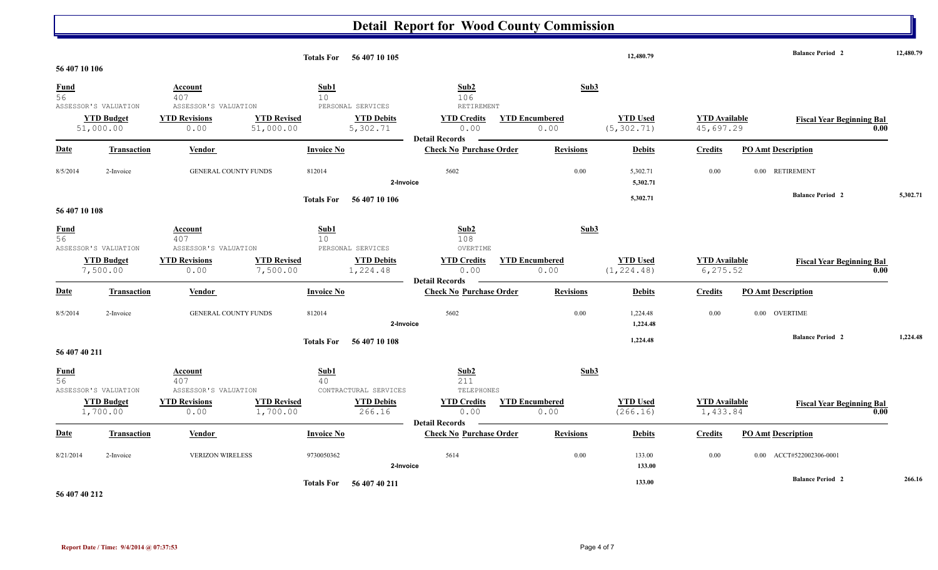|                                |                                                        |                                                      |                                 |                         | Totals For 56 407 10 105                           |                                                         |                               | 12,480.79                      |                                   | <b>Balance Period 2</b>   |                                          | 12,480.79 |
|--------------------------------|--------------------------------------------------------|------------------------------------------------------|---------------------------------|-------------------------|----------------------------------------------------|---------------------------------------------------------|-------------------------------|--------------------------------|-----------------------------------|---------------------------|------------------------------------------|-----------|
| 56 407 10 106                  |                                                        |                                                      |                                 |                         |                                                    |                                                         |                               |                                |                                   |                           |                                          |           |
| <b>Fund</b><br>$\overline{56}$ |                                                        | <b>Account</b><br>407                                |                                 | Sub1<br>10 <sup>°</sup> |                                                    | Sub2<br>106                                             |                               | Sub3                           |                                   |                           |                                          |           |
|                                | ASSESSOR'S VALUATION<br><b>YTD Budget</b><br>51,000.00 | ASSESSOR'S VALUATION<br><b>YTD Revisions</b><br>0.00 | <b>YTD Revised</b><br>51,000.00 |                         | PERSONAL SERVICES<br><b>YTD Debits</b><br>5,302.71 | RETIREMENT<br><b>YTD Credits</b><br>0.00                | <b>YTD Encumbered</b><br>0.00 | <b>YTD Used</b><br>(5, 302.71) | <b>YTD</b> Available<br>45,697.29 |                           | <b>Fiscal Year Beginning Bal</b><br>0.00 |           |
| <b>Date</b>                    | <b>Transaction</b>                                     | Vendor                                               |                                 | <b>Invoice No</b>       |                                                    | <b>Detail Records</b><br><b>Check No Purchase Order</b> | <b>Revisions</b>              | <b>Debits</b>                  | <b>Credits</b>                    | <b>PO Amt Description</b> |                                          |           |
| 8/5/2014                       | 2-Invoice                                              | <b>GENERAL COUNTY FUNDS</b>                          |                                 | 812014                  | 2-Invoice                                          | 5602                                                    | 0.00                          | 5,302.71<br>5,302.71           | 0.00                              | 0.00 RETIREMENT           |                                          |           |
|                                |                                                        |                                                      |                                 |                         | Totals For 56 407 10 106                           |                                                         |                               | 5,302.71                       |                                   | <b>Balance Period 2</b>   |                                          | 5,302.71  |
| 56 407 10 108                  |                                                        |                                                      |                                 |                         |                                                    |                                                         |                               |                                |                                   |                           |                                          |           |
| <b>Fund</b><br>56              | ASSESSOR'S VALUATION                                   | Account<br>407<br>ASSESSOR'S VALUATION               |                                 | Sub1<br>10 <sup>°</sup> | PERSONAL SERVICES                                  | Sub2<br>108<br>OVERTIME                                 |                               | Sub3                           |                                   |                           |                                          |           |
|                                | <b>YTD Budget</b><br>7,500.00                          | <b>YTD Revisions</b><br>0.00                         | <b>YTD Revised</b><br>7,500.00  |                         | <b>YTD Debits</b><br>1,224.48                      | <b>YTD Credits</b><br>0.00<br><b>Detail Records</b>     | <b>YTD Encumbered</b><br>0.00 | <b>YTD Used</b><br>(1, 224.48) | <b>YTD</b> Available<br>6, 275.52 |                           | <b>Fiscal Year Beginning Bal</b><br>0.00 |           |
| <b>Date</b>                    | <b>Transaction</b>                                     | <b>Vendor</b>                                        |                                 | <b>Invoice No</b>       |                                                    | <b>Check No Purchase Order</b>                          | <b>Revisions</b>              | <b>Debits</b>                  | <b>Credits</b>                    | <b>PO Amt Description</b> |                                          |           |
| 8/5/2014                       | 2-Invoice                                              | <b>GENERAL COUNTY FUNDS</b>                          |                                 | 812014                  | 2-Invoice                                          | 5602                                                    | 0.00                          | 1,224.48<br>1,224.48           | 0.00                              | 0.00 OVERTIME             |                                          |           |
|                                |                                                        |                                                      |                                 | <b>Totals For</b>       | 56 407 10 108                                      |                                                         |                               | 1,224.48                       |                                   | <b>Balance Period 2</b>   |                                          | 1,224.48  |
| 56 407 40 211                  |                                                        |                                                      |                                 |                         |                                                    |                                                         |                               |                                |                                   |                           |                                          |           |
| <b>Fund</b><br>56              | ASSESSOR'S VALUATION                                   | Account<br>407<br>ASSESSOR'S VALUATION               |                                 | Sub1<br>40              | CONTRACTURAL SERVICES                              | Sub2<br>211<br>TELEPHONES                               |                               | Sub3                           |                                   |                           |                                          |           |
|                                | <b>YTD Budget</b><br>1,700.00                          | <b>YTD Revisions</b><br>0.00                         | <b>YTD Revised</b><br>1,700.00  |                         | <b>YTD Debits</b><br>266.16                        | <b>YTD Credits</b><br>0.00                              | <b>YTD Encumbered</b><br>0.00 | <b>YTD Used</b><br>(266.16)    | <b>YTD</b> Available<br>1,433.84  |                           | <b>Fiscal Year Beginning Bal</b><br>0.00 |           |
| <b>Date</b>                    | <b>Transaction</b>                                     | Vendor                                               |                                 | <b>Invoice No</b>       |                                                    | <b>Detail Records</b><br><b>Check No Purchase Order</b> | <b>Revisions</b>              | <b>Debits</b>                  | <b>Credits</b>                    | <b>PO Amt Description</b> |                                          |           |
| 8/21/2014                      | 2-Invoice                                              | <b>VERIZON WIRELESS</b>                              |                                 | 9730050362              | 2-Invoice                                          | 5614                                                    | 0.00                          | 133.00<br>133.00               | 0.00                              | 0.00 ACCT#522002306-0001  |                                          |           |
| $P \nmid$ $AP$ $10.212$        |                                                        |                                                      |                                 | <b>Totals For</b>       | 56 407 40 211                                      |                                                         |                               | 133.00                         |                                   | <b>Balance Period 2</b>   |                                          | 266.16    |

**56 407 40 212**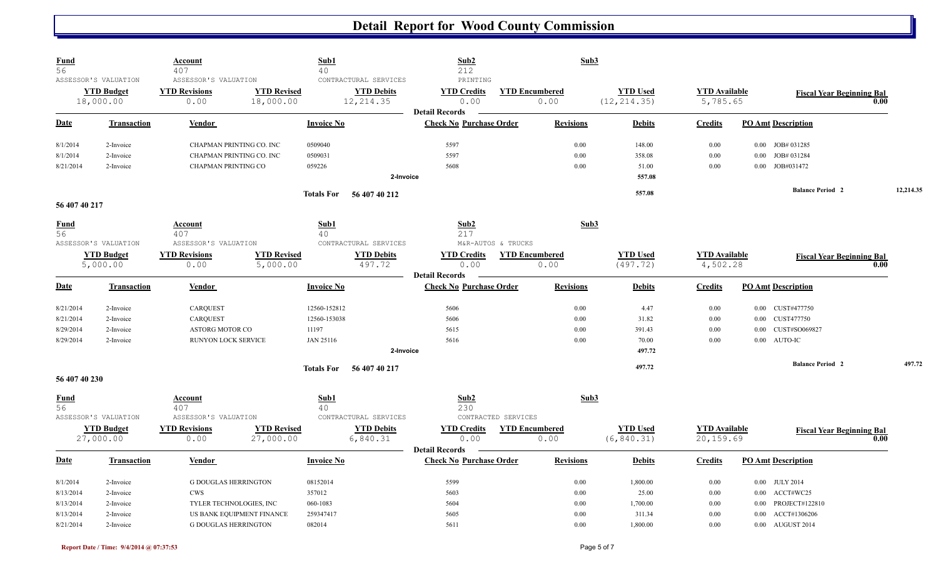| <b>Fund</b><br>$\overline{56}$ | ASSESSOR'S VALUATION | <b>Account</b><br>407<br>ASSESSOR'S VALUATION |                           | Sub1<br>40        | CONTRACTURAL SERVICES    | Sub2<br>212<br>PRINTING                                 |                     | Sub3                  |                 |                      |                           |                                  |           |
|--------------------------------|----------------------|-----------------------------------------------|---------------------------|-------------------|--------------------------|---------------------------------------------------------|---------------------|-----------------------|-----------------|----------------------|---------------------------|----------------------------------|-----------|
|                                | <b>YTD Budget</b>    | <b>YTD Revisions</b>                          | <b>YTD Revised</b>        |                   | <b>YTD Debits</b>        | <b>YTD Credits</b>                                      |                     | <b>YTD Encumbered</b> | <b>YTD Used</b> | <b>YTD</b> Available |                           | <b>Fiscal Year Beginning Bal</b> |           |
|                                | 18,000.00            | 0.00                                          | 18,000.00                 |                   | 12, 214.35               | 0.00                                                    |                     | 0.00                  | (12, 214.35)    | 5,785.65             |                           | 0.00                             |           |
| <b>Date</b>                    | <b>Transaction</b>   | Vendor                                        |                           | <b>Invoice No</b> |                          | <b>Detail Records</b><br><b>Check No Purchase Order</b> |                     | <b>Revisions</b>      | <b>Debits</b>   | <b>Credits</b>       | <b>PO Amt Description</b> |                                  |           |
| 8/1/2014                       | 2-Invoice            | CHAPMAN PRINTING CO. INC                      |                           | 0509040           |                          | 5597                                                    |                     | 0.00                  | 148.00          | 0.00                 | $0.00$ JOB# 031285        |                                  |           |
| 8/1/2014                       | 2-Invoice            | CHAPMAN PRINTING CO. INC                      |                           | 0509031           |                          | 5597                                                    |                     | 0.00                  | 358.08          | 0.00                 | 0.00 JOB# 031284          |                                  |           |
| 8/21/2014                      | 2-Invoice            | CHAPMAN PRINTING CO                           |                           | 059226            |                          | 5608                                                    |                     | 0.00                  | 51.00           | 0.00                 | 0.00 JOB#031472           |                                  |           |
|                                |                      |                                               |                           |                   | 2-Invoice                |                                                         |                     |                       | 557.08          |                      |                           |                                  |           |
| 56 407 40 217                  |                      |                                               |                           |                   | Totals For 56 407 40 212 |                                                         |                     |                       | 557.08          |                      |                           | <b>Balance Period 2</b>          | 12,214.35 |
| Fund<br>56                     |                      | Account<br>407                                |                           | Sub1<br>40        |                          | Sub2<br>217                                             |                     | Sub3                  |                 |                      |                           |                                  |           |
|                                | ASSESSOR'S VALUATION | ASSESSOR'S VALUATION                          |                           |                   | CONTRACTURAL SERVICES    |                                                         | M&R-AUTOS & TRUCKS  |                       |                 |                      |                           |                                  |           |
|                                | <b>YTD Budget</b>    | <b>YTD Revisions</b>                          | <b>YTD Revised</b>        |                   | <b>YTD Debits</b>        | <b>YTD Credits</b>                                      |                     | <b>YTD Encumbered</b> | <b>YTD Used</b> | <b>YTD</b> Available |                           | <b>Fiscal Year Beginning Bal</b> |           |
|                                | 5,000.00             | 0.00                                          | 5,000.00                  |                   | 497.72                   | 0.00                                                    |                     | 0.00                  | (497.72)        | 4,502.28             |                           | 0.00                             |           |
| <b>Date</b>                    | <b>Transaction</b>   | <b>Vendor</b>                                 |                           | <b>Invoice No</b> |                          | <b>Detail Records</b><br><b>Check No Purchase Order</b> |                     | <b>Revisions</b>      | <b>Debits</b>   | <b>Credits</b>       | <b>PO Amt Description</b> |                                  |           |
| 8/21/2014                      | 2-Invoice            | <b>CARQUEST</b>                               |                           | 12560-152812      |                          | 5606                                                    |                     | 0.00                  | 4.47            | 0.00                 | 0.00 CUST#477750          |                                  |           |
| 8/21/2014                      | 2-Invoice            | <b>CARQUEST</b>                               |                           | 12560-153038      |                          | 5606                                                    |                     | 0.00                  | 31.82           | 0.00                 | CUST477750<br>0.00        |                                  |           |
| 8/29/2014                      | 2-Invoice            | <b>ASTORG MOTOR CO</b>                        |                           | 11197             |                          | 5615                                                    |                     | 0.00                  | 391.43          | 0.00                 | CUST#SO069827<br>0.00     |                                  |           |
| 8/29/2014                      | 2-Invoice            | RUNYON LOCK SERVICE                           |                           | JAN 25116         |                          | 5616                                                    |                     | 0.00                  | 70.00           | 0.00                 | AUTO-IC<br>0.00           |                                  |           |
|                                |                      |                                               |                           |                   | 2-Invoice                |                                                         |                     |                       | 497.72          |                      |                           |                                  |           |
| 56 407 40 230                  |                      |                                               |                           | <b>Totals For</b> | 56 407 40 217            |                                                         |                     |                       | 497.72          |                      |                           | <b>Balance Period 2</b>          | 497.72    |
| <u>Fund</u>                    |                      | Account                                       |                           | Sub1              |                          | Sub2                                                    |                     | Sub3                  |                 |                      |                           |                                  |           |
| 56                             | ASSESSOR'S VALUATION | 407<br>ASSESSOR'S VALUATION                   |                           | 40                | CONTRACTURAL SERVICES    | 230                                                     | CONTRACTED SERVICES |                       |                 |                      |                           |                                  |           |
|                                | <b>YTD Budget</b>    | <b>YTD Revisions</b>                          | <b>YTD Revised</b>        |                   | <b>YTD Debits</b>        | <b>YTD Credits</b>                                      |                     | <b>YTD Encumbered</b> | <b>YTD Used</b> | <b>YTD</b> Available |                           | <b>Fiscal Year Beginning Bal</b> |           |
|                                | 27,000.00            | 0.00                                          | 27,000.00                 |                   | 6,840.31                 | 0.00<br><b>Detail Records</b>                           |                     | 0.00                  | (6, 840.31)     | 20,159.69            |                           | 0.00                             |           |
| <b>Date</b>                    | <b>Transaction</b>   | Vendor                                        |                           | <b>Invoice No</b> |                          | <b>Check No Purchase Order</b>                          |                     | <b>Revisions</b>      | <b>Debits</b>   | <b>Credits</b>       | <b>PO Amt Description</b> |                                  |           |
| 8/1/2014                       | 2-Invoice            | <b>G DOUGLAS HERRINGTON</b>                   |                           | 08152014          |                          | 5599                                                    |                     | 0.00                  | 1,800.00        | 0.00                 | 0.00 JULY 2014            |                                  |           |
| 8/13/2014                      | 2-Invoice            | <b>CWS</b>                                    |                           | 357012            |                          | 5603                                                    |                     | 0.00                  | 25.00           | 0.00                 | 0.00 ACCT#WC25            |                                  |           |
| 8/13/2014                      | 2-Invoice            | TYLER TECHNOLOGIES, INC                       |                           | 060-1083          |                          | 5604                                                    |                     | 0.00                  | 1,700.00        | 0.00                 | PROJECT#122810<br>0.00    |                                  |           |
| 8/13/2014                      | 2-Invoice            |                                               | US BANK EQUIPMENT FINANCE | 259347417         |                          | 5605                                                    |                     | 0.00                  | 311.34          | 0.00                 | ACCT#1306206<br>0.00      |                                  |           |
| 8/21/2014                      | 2-Invoice            | <b>G DOUGLAS HERRINGTON</b>                   |                           | 082014            |                          | 5611                                                    |                     | 0.00                  | 1,800.00        | 0.00                 | 0.00 AUGUST 2014          |                                  |           |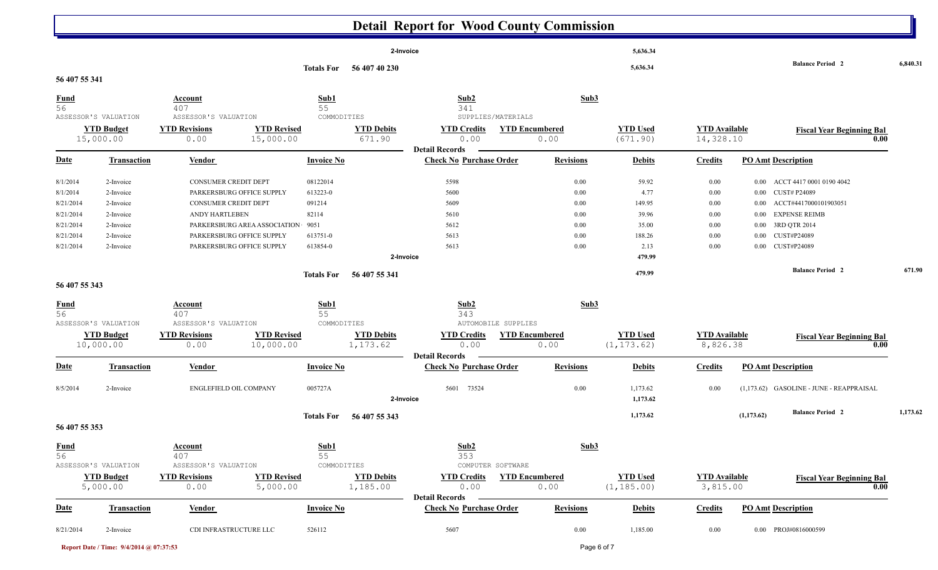|                       |                                         |                                               |                                 |                           |                               | <b>Detail Report for Wood County Commission</b>         |                               |                  |                                |                                   |              |                                          |          |
|-----------------------|-----------------------------------------|-----------------------------------------------|---------------------------------|---------------------------|-------------------------------|---------------------------------------------------------|-------------------------------|------------------|--------------------------------|-----------------------------------|--------------|------------------------------------------|----------|
|                       |                                         |                                               |                                 |                           | 2-Invoice                     |                                                         |                               |                  | 5,636.34                       |                                   |              |                                          |          |
|                       |                                         |                                               |                                 | <b>Totals For</b>         | 56 407 40 230                 |                                                         |                               |                  | 5,636.34                       |                                   |              | <b>Balance Period 2</b>                  | 6,840.31 |
| 56 407 55 341         |                                         |                                               |                                 |                           |                               |                                                         |                               |                  |                                |                                   |              |                                          |          |
| <b>Fund</b><br>56     | ASSESSOR'S VALUATION                    | <b>Account</b><br>407<br>ASSESSOR'S VALUATION |                                 | Sub1<br>55<br>COMMODITIES |                               | Sub2<br>341                                             | SUPPLIES/MATERIALS            | Sub3             |                                |                                   |              |                                          |          |
|                       | <b>YTD Budget</b><br>15,000.00          | <b>YTD Revisions</b><br>0.00                  | <b>YTD Revised</b><br>15,000.00 |                           | <b>YTD Debits</b><br>671.90   | <b>YTD Credits</b><br>0.00<br><b>Detail Records</b>     | <b>YTD Encumbered</b><br>0.00 |                  | <b>YTD Used</b><br>(671.90)    | <b>YTD</b> Available<br>14,328.10 |              | <b>Fiscal Year Beginning Bal</b><br>0.00 |          |
| <b>Date</b>           | <b>Transaction</b>                      | Vendor                                        |                                 | <b>Invoice No</b>         |                               | <b>Check No Purchase Order</b>                          |                               | <b>Revisions</b> | <b>Debits</b>                  | <b>Credits</b>                    |              | <b>PO Amt Description</b>                |          |
| 8/1/2014              | 2-Invoice                               | <b>CONSUMER CREDIT DEPT</b>                   |                                 | 08122014                  |                               | 5598                                                    |                               | 0.00             | 59.92                          | 0.00                              | 0.00         | ACCT 4417 0001 0190 4042                 |          |
| 8/1/2014<br>8/21/2014 | 2-Invoice<br>2-Invoice                  | <b>CONSUMER CREDIT DEPT</b>                   | PARKERSBURG OFFICE SUPPLY       | 613223-0<br>091214        |                               | 5600<br>5609                                            |                               | 0.00<br>0.00     | 4.77<br>149.95                 | 0.00<br>0.00                      | 0.00<br>0.00 | CUST# P24089<br>ACCT#4417000101903051    |          |
| 8/21/2014             | 2-Invoice                               | ANDY HARTLEBEN                                |                                 | 82114                     |                               | 5610                                                    |                               | 0.00             | 39.96                          | 0.00                              | 0.00         | <b>EXPENSE REIMB</b>                     |          |
| 8/21/2014             | 2-Invoice                               |                                               | PARKERSBURG AREA ASSOCIATION    | 9051                      |                               | 5612                                                    |                               | 0.00             | 35.00                          | 0.00                              | 0.00         | 3RD QTR 2014                             |          |
| 8/21/2014             | 2-Invoice                               |                                               | PARKERSBURG OFFICE SUPPLY       | 613751-0                  |                               | 5613                                                    |                               | 0.00             | 188.26                         | 0.00                              |              | 0.00 CUST#P24089                         |          |
| 8/21/2014             | 2-Invoice                               |                                               | PARKERSBURG OFFICE SUPPLY       | 613854-0                  |                               | 5613                                                    |                               | 0.00             | 2.13                           | 0.00                              |              | 0.00 CUST#P24089                         |          |
|                       |                                         |                                               |                                 |                           | 2-Invoice                     |                                                         |                               |                  | 479.99                         |                                   |              |                                          |          |
|                       |                                         |                                               |                                 | <b>Totals For</b>         | 56 407 55 341                 |                                                         |                               |                  | 479.99                         |                                   |              | <b>Balance Period 2</b>                  | 671.90   |
| 56 407 55 343         |                                         |                                               |                                 |                           |                               |                                                         |                               |                  |                                |                                   |              |                                          |          |
| <b>Fund</b>           |                                         | <u>Account</u>                                |                                 | Sub1                      |                               | Sub <sub>2</sub>                                        |                               | Sub3             |                                |                                   |              |                                          |          |
| 56                    | ASSESSOR'S VALUATION                    | 407<br>ASSESSOR'S VALUATION                   |                                 | 55<br>COMMODITIES         |                               | 343                                                     | AUTOMOBILE SUPPLIES           |                  |                                |                                   |              |                                          |          |
|                       | <b>YTD Budget</b>                       | <b>YTD Revisions</b>                          | <b>YTD Revised</b>              |                           | <b>YTD Debits</b>             | <b>YTD Credits</b>                                      | <b>YTD Encumbered</b>         |                  | <b>YTD Used</b>                | <b>YTD</b> Available              |              | <b>Fiscal Year Beginning Bal</b>         |          |
|                       | 10,000.00                               | 0.00                                          | 10,000.00                       |                           | 1,173.62                      | 0.00<br><b>Detail Records</b>                           | 0.00                          |                  | (1, 173.62)                    | 8,826.38                          |              | 0.00                                     |          |
| <b>Date</b>           | <b>Transaction</b>                      | <b>Vendor</b>                                 |                                 | <b>Invoice No</b>         |                               | <b>Check No Purchase Order</b>                          |                               | <b>Revisions</b> | <b>Debits</b>                  | <b>Credits</b>                    |              | <b>PO Amt Description</b>                |          |
| 8/5/2014              | 2-Invoice                               | <b>ENGLEFIELD OIL COMPANY</b>                 |                                 | 005727A                   | 2-Invoice                     | 5601<br>73524                                           |                               | 0.00             | 1,173.62<br>1,173.62           | 0.00                              |              | (1,173.62) GASOLINE - JUNE - REAPPRAISAL |          |
|                       |                                         |                                               |                                 | <b>Totals For</b>         | 56 407 55 343                 |                                                         |                               |                  | 1,173.62                       |                                   | (1,173.62)   | <b>Balance Period 2</b>                  | 1,173.62 |
| 56 407 55 353         |                                         |                                               |                                 |                           |                               |                                                         |                               |                  |                                |                                   |              |                                          |          |
| $\frac{Fund}{56}$     | ASSESSOR'S VALUATION                    | Account<br>407<br>ASSESSOR'S VALUATION        |                                 | Sub1<br>55<br>COMMODITIES |                               | Sub2<br>353                                             | COMPUTER SOFTWARE             | Sub3             |                                |                                   |              |                                          |          |
|                       | <b>YTD Budget</b><br>5,000.00           | <b>YTD Revisions</b><br>0.00                  | <b>YTD Revised</b><br>5,000.00  |                           | <b>YTD Debits</b><br>1,185.00 | <b>YTD Credits</b><br>0.00                              | <b>YTD Encumbered</b><br>0.00 |                  | <b>YTD Used</b><br>(1, 185.00) | <b>YTD</b> Available<br>3,815.00  |              | <b>Fiscal Year Beginning Bal</b><br>0.00 |          |
| <b>Date</b>           | <b>Transaction</b>                      | <b>Vendor</b>                                 |                                 | <b>Invoice No</b>         |                               | <b>Detail Records</b><br><b>Check No Purchase Order</b> |                               | <b>Revisions</b> | <b>Debits</b>                  | <b>Credits</b>                    |              | <b>PO Amt Description</b>                |          |
| 8/21/2014             | 2-Invoice                               | CDI INFRASTRUCTURE LLC                        |                                 | 526112                    |                               | 5607                                                    |                               | 0.00             | 1,185.00                       | 0.00                              |              | 0.00 PROJ#0816000599                     |          |
|                       | Report Date / Time: 9/4/2014 @ 07:37:53 |                                               |                                 |                           |                               |                                                         |                               |                  | Page 6 of 7                    |                                   |              |                                          |          |